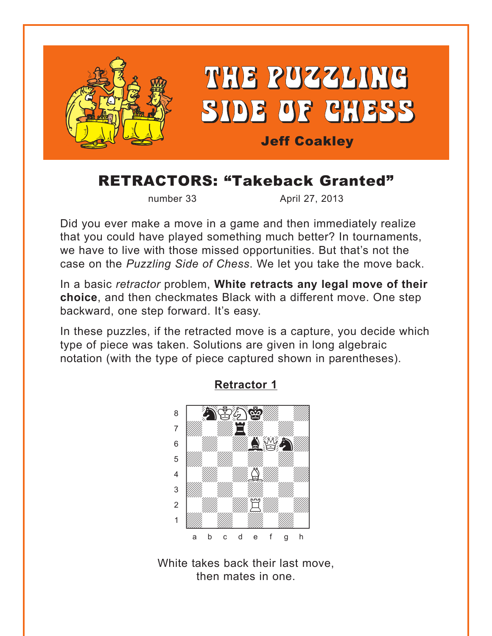<span id="page-0-0"></span>

# RETRACTORS: "Takeback Granted"

number 33 April 27, 2013

Did you ever make a move in a game and then immediately realize that you could have played something much better? In tournaments, we have to live with those missed opportunities. But that's not the case on the *Puzzling Side of Chess*. We let you take the move back.

In a basic *retractor* problem, **White retracts any legal move of their choice**, and then checkmates Black with a different move. One step backward, one step forward. It's easy.

In these puzzles, if the retracted move is a capture, you decide which type of piece was taken. Solutions are given in long algebraic notation (with the type of piece captured shown in parentheses).



# **[Retractor 1](#page-6-0)**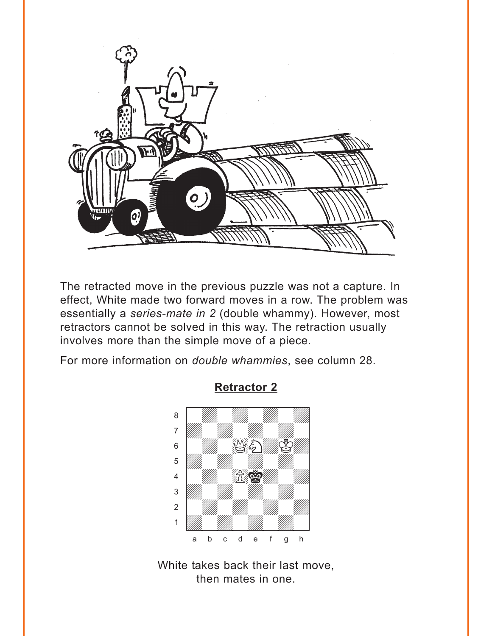<span id="page-1-0"></span>

The retracted move in the previous puzzle was not a capture. In effect, White made two forward moves in a row. The problem was essentially a *series-mate in 2* (double whammy). However, most retractors cannot be solved in this way. The retraction usually involves more than the simple move of a piece.

For more information on *double whammies*, see column 28.



**[Retractor 2](#page-7-0)**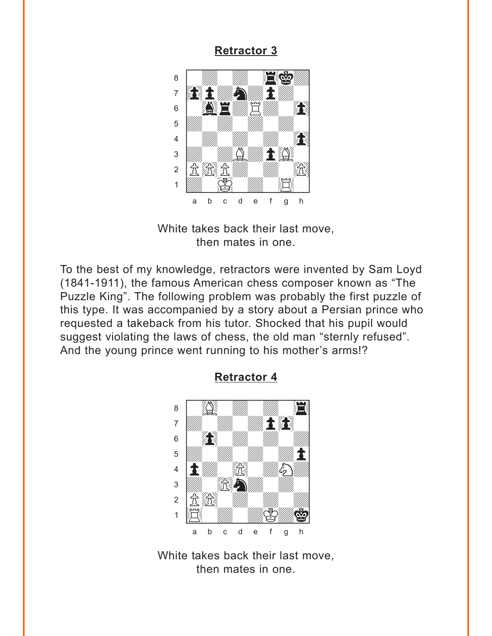<span id="page-2-0"></span>

White takes back their last move, then mates in one.

To the best of my knowledge, retractors were invented by Sam Loyd (1841-1911), the famous American chess composer known as "The Puzzle King". The following problem was probably the first puzzle of this type. It was accompanied by a story about a Persian prince who requested a takeback from his tutor. Shocked that his pupil would suggest violating the laws of chess, the old man "sternly refused". And the young prince went running to his mother's arms!?



### **Retractor 4**

White takes back their last move, then mates in one.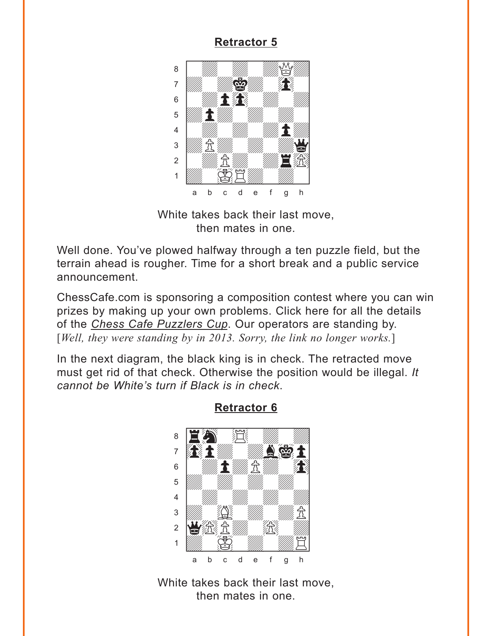<span id="page-3-0"></span>

White takes back their last move, then mates in one.

Well done. You've plowed halfway through a ten puzzle field, but the terrain ahead is rougher. Time for a short break and a public service announcement.

ChessCafe.com is sponsoring a composition contest where you can win prizes by making up your own problems. Click here for all the details of the *Chess Cafe Puzzlers Cup*. Our operators are standing by. [*Well, they were standing by in 2013. Sorry, the link no longer works.*]

In the next diagram, the black king is in check. The retracted move must get rid of that check. Otherwise the position would be illegal. *It cannot be White's turn if Black is in check*.



## **[Retractor 6](#page-9-0)**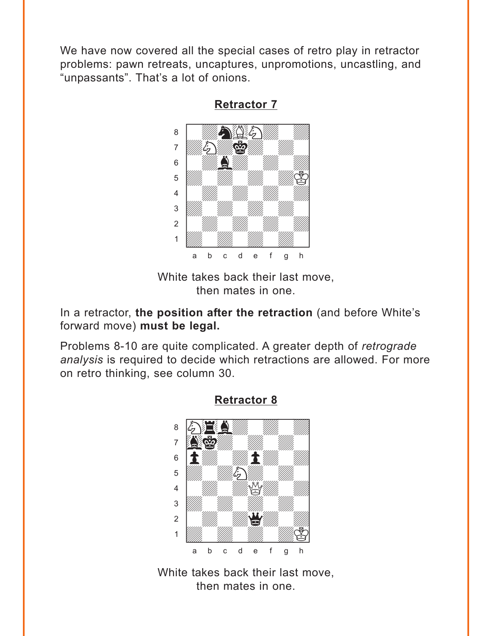<span id="page-4-0"></span>We have now covered all the special cases of retro play in retractor problems: pawn retreats, uncaptures, unpromotions, uncastling, and "unpassants". That's a lot of onions.



**[Retractor 7](#page-10-0)**

White takes back their last move, then mates in one.

In a retractor, **the position after the retraction** (and before White's forward move) **must be legal.**

Problems 8-10 are quite complicated. A greater depth of *retrograde analysis* is required to decide which retractions are allowed. For more on retro thinking, see column 30.



## **[Retractor 8](#page-12-0)**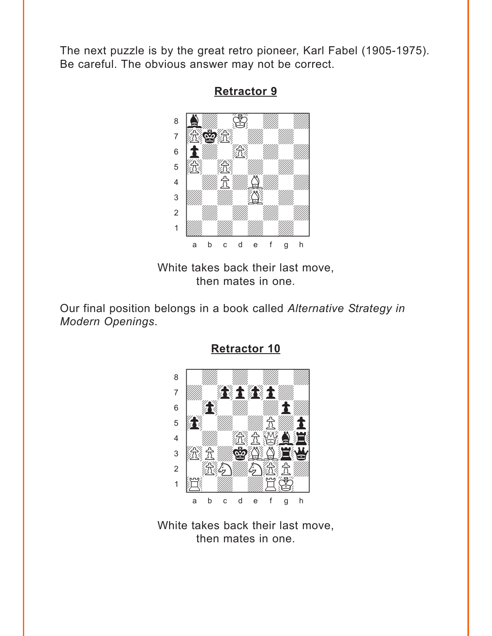<span id="page-5-0"></span>The next puzzle is by the great retro pioneer, Karl Fabel (1905-1975). Be careful. The obvious answer may not be correct.



**[Retractor 9](#page-13-0)**

White takes back their last move, then mates in one.

Our final position belongs in a book called *Alternative Strategy in Modern Openings*.



**[Retractor 10](#page-14-0)**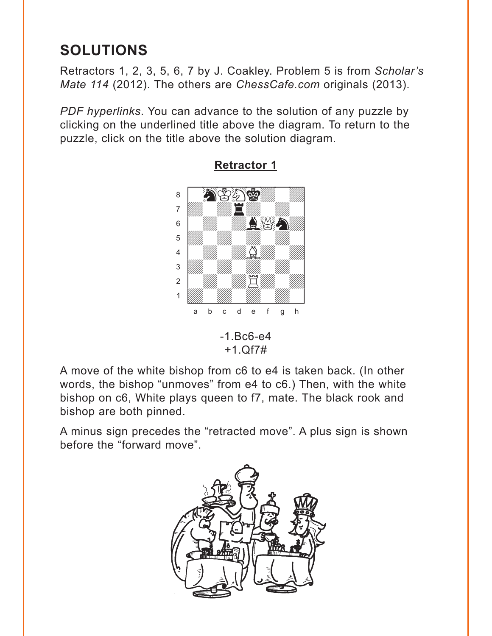# <span id="page-6-0"></span>**SOLUTIONS**

Retractors 1, 2, 3, 5, 6, 7 by J. Coakley. Problem 5 is from *Scholar's Mate 114* (2012). The others are *ChessCafe.com* originals (2013).

*PDF hyperlinks*. You can advance to the solution of any puzzle by clicking on the underlined title above the diagram. To return to the puzzle, click on the title above the solution diagram.



**[Retractor 1](#page-0-0)**

-1.Bc6-e4 +1.Qf7#

A move of the white bishop from c6 to e4 is taken back. (In other words, the bishop "unmoves" from e4 to c6.) Then, with the white bishop on c6, White plays queen to f7, mate. The black rook and bishop are both pinned.

A minus sign precedes the "retracted move". A plus sign is shown before the "forward move".

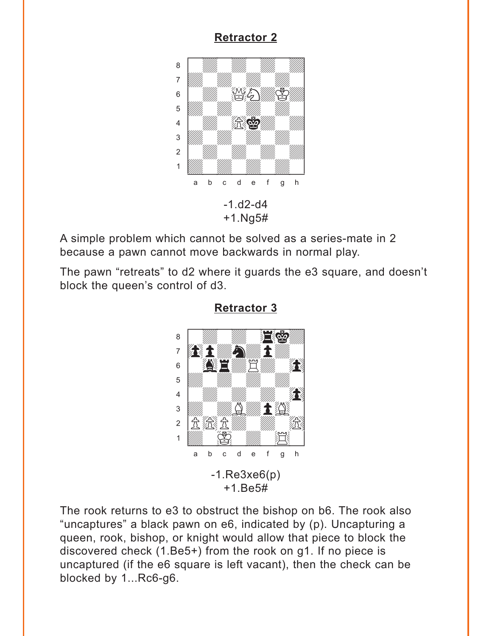#### <span id="page-7-0"></span>8  $\overline{7}$ **AD**  $\bigcircled{S}$  $6\phantom{1}6$ 5 发奋  $\overline{4}$  $\mathfrak{Z}$  $\overline{2}$  $\mathbf{1}$ d e f  $\mathsf{h}$  $\mathsf b$  $\mathbf{C}$  $\mathbf{a}$  $\mathsf{q}$  $-1$ , d2-d4  $+1.$ Ng5#

**Retractor 2** 

A simple problem which cannot be solved as a series-mate in 2 because a pawn cannot move backwards in normal play.

The pawn "retreats" to d2 where it guards the e3 square, and doesn't block the queen's control of d3.



The rook returns to e3 to obstruct the bishop on b6. The rook also "uncaptures" a black pawn on e6, indicated by (p). Uncapturing a queen, rook, bishop, or knight would allow that piece to block the discovered check (1.Be5+) from the rook on g1. If no piece is uncaptured (if the e6 square is left vacant), then the check can be blocked by 1...Rc6-g6.

### **Retractor 3**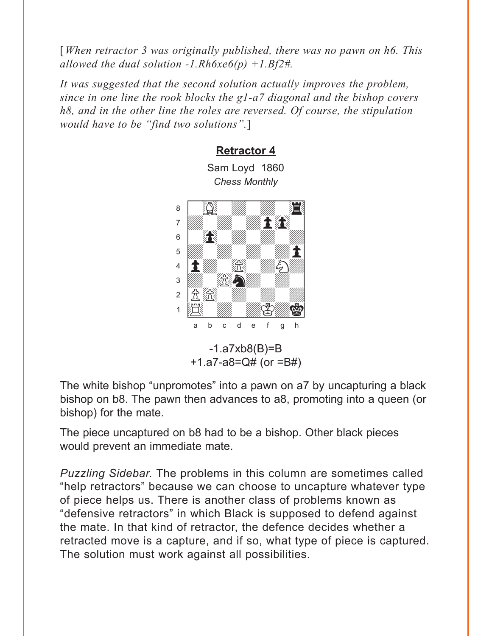<span id="page-8-0"></span>[When retractor 3 was originally published, there was no pawn on h6. This allowed the dual solution -1.Rh $6xe6(p)$  +1.Bf2#.

It was suggested that the second solution actually improves the problem. since in one line the rook blocks the g1-a7 diagonal and the bishop covers h8, and in the other line the roles are reversed. Of course, the stipulation would have to be "find two solutions".]

**Retractor 4** 

Sam Loyd 1860



 $-1.a7xb8(B)=B$ +1.a7-a8=Q# (or  $=$ B#)

The white bishop "unpromotes" into a pawn on a7 by uncapturing a black bishop on b8. The pawn then advances to a8, promoting into a queen (or bishop) for the mate.

The piece uncaptured on b8 had to be a bishop. Other black pieces would prevent an immediate mate.

*Puzzling Sidebar.* The problems in this column are sometimes called "help retractors" because we can choose to uncapture whatever type of piece helps us. There is another class of problems known as "defensive retractors" in which Black is supposed to defend against the mate. In that kind of retractor, the defence decides whether a retracted move is a capture, and if so, what type of piece is captured. The solution must work against all possibilities.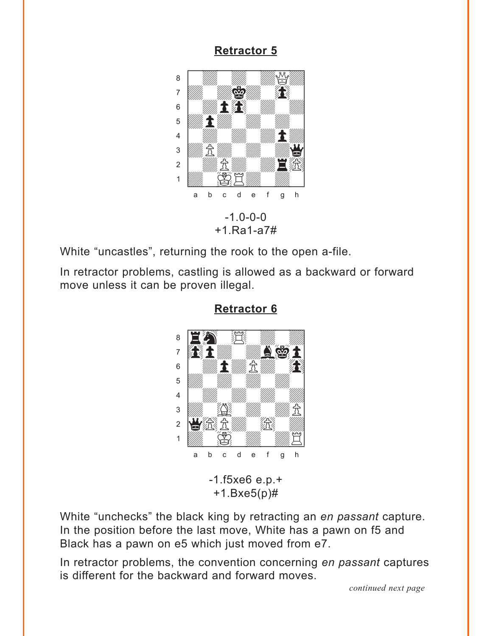<span id="page-9-0"></span>

White "uncastles", returning the rook to the open a-file.

In retractor problems, castling is allowed as a backward or forward move unless it can be proven illegal.



**Retractor 6** 

White "unchecks" the black king by retracting an en passant capture. In the position before the last move, White has a pawn on f5 and Black has a pawn on e5 which just moved from e7.

In retractor problems, the convention concerning en passant captures is different for the backward and forward moves.

continued next page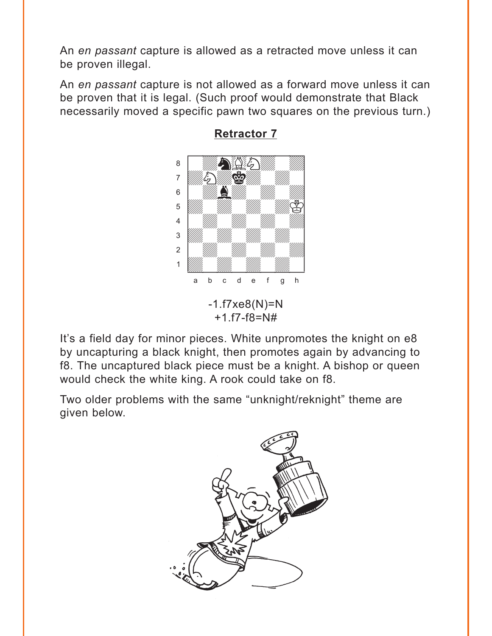<span id="page-10-0"></span>An *en passant* capture is allowed as a retracted move unless it can be proven illegal.

An *en passant* capture is not allowed as a forward move unless it can be proven that it is legal. (Such proof would demonstrate that Black necessarily moved a specific pawn two squares on the previous turn.)



## **[Retractor 7](#page-4-0)**

It's a field day for minor pieces. White unpromotes the knight on e8 by uncapturing a black knight, then promotes again by advancing to f8. The uncaptured black piece must be a knight. A bishop or queen would check the white king. A rook could take on f8.

Two older problems with the same "unknight/reknight" theme are given below.

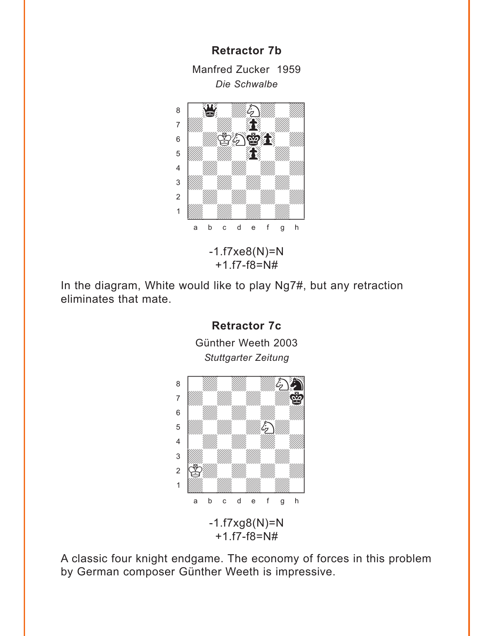Manfred Zucker 1959 *Die Schwalbe*

**Retractor 7b**



-1.f7xe8(N)=N +1.f7-f8=N#

In the diagram, White would like to play Ng7#, but any retraction eliminates that mate.



A classic four knight endgame. The economy of forces in this problem by German composer Günther Weeth is impressive.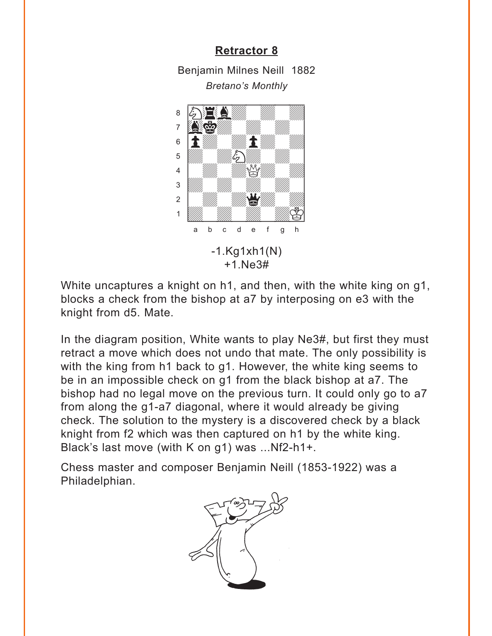<span id="page-12-0"></span>Benjamin Milnes Neill 1882 *Bretano's Monthly*



White uncaptures a knight on h1, and then, with the white king on g1, blocks a check from the bishop at a7 by interposing on e3 with the knight from d5. Mate.

In the diagram position, White wants to play Ne3#, but first they must retract a move which does not undo that mate. The only possibility is with the king from h1 back to g1. However, the white king seems to be in an impossible check on g1 from the black bishop at a7. The bishop had no legal move on the previous turn. It could only go to a7 from along the g1-a7 diagonal, where it would already be giving check. The solution to the mystery is a discovered check by a black knight from f2 which was then captured on h1 by the white king. Black's last move (with K on g1) was ...Nf2-h1+.

Chess master and composer Benjamin Neill (1853-1922) was a Philadelphian.

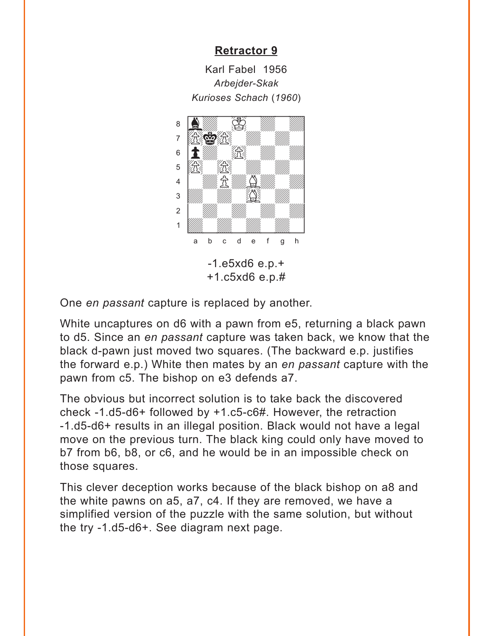Karl Fabel 1956 *Arbejder-Skak Kurioses Schach* (*1960*)

<span id="page-13-0"></span>

One *en passant* capture is replaced by another.

White uncaptures on d6 with a pawn from e5, returning a black pawn to d5. Since an *en passant* capture was taken back, we know that the black d-pawn just moved two squares. (The backward e.p. justifies the forward e.p.) White then mates by an *en passant* capture with the pawn from c5. The bishop on e3 defends a7.

The obvious but incorrect solution is to take back the discovered check -1.d5-d6+ followed by +1.c5-c6#. However, the retraction -1.d5-d6+ results in an illegal position. Black would not have a legal move on the previous turn. The black king could only have moved to b7 from b6, b8, or c6, and he would be in an impossible check on those squares.

This clever deception works because of the black bishop on a8 and the white pawns on a5, a7, c4. If they are removed, we have a simplified version of the puzzle with the same solution, but without the try -1.d5-d6+. See diagram next page.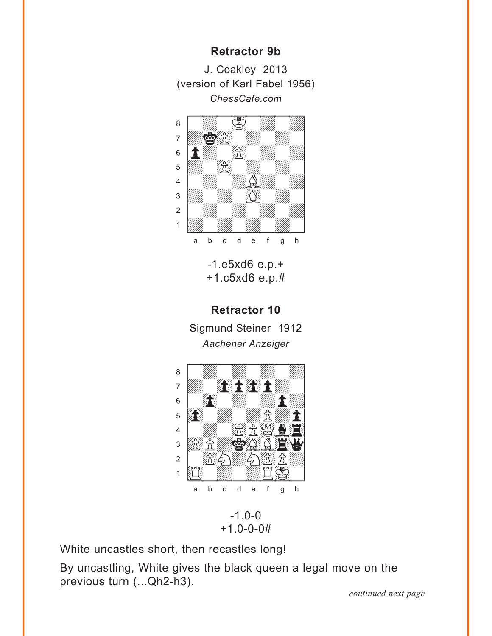## **Retractor 9b**

<span id="page-14-0"></span>J. Coakley 2013 (version of Karl Fabel 1956) ChessCafe.com



 $-1. e5x d6 e.p. +$  $+1.65xd6e.p.#$ 

# **Retractor 10**

Sigmund Steiner 1912 Aachener Anzeiger



 $-1.0 - 0$  $+1.0 - 0 - 0#$ 

White uncastles short, then recastles long!

By uncastling, White gives the black queen a legal move on the previous turn (... Qh2-h3).

continued next page